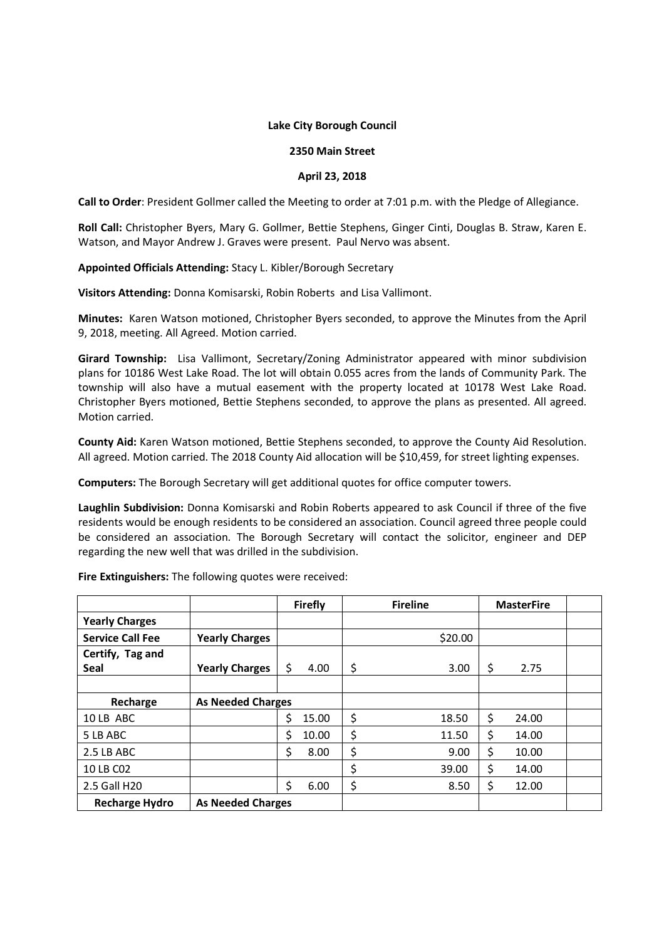## **Lake City Borough Council**

## **2350 Main Street**

## **April 23, 2018**

**Call to Order**: President Gollmer called the Meeting to order at 7:01 p.m. with the Pledge of Allegiance.

**Roll Call:** Christopher Byers, Mary G. Gollmer, Bettie Stephens, Ginger Cinti, Douglas B. Straw, Karen E. Watson, and Mayor Andrew J. Graves were present. Paul Nervo was absent.

**Appointed Officials Attending:** Stacy L. Kibler/Borough Secretary

**Visitors Attending:** Donna Komisarski, Robin Roberts and Lisa Vallimont.

**Minutes:** Karen Watson motioned, Christopher Byers seconded, to approve the Minutes from the April 9, 2018, meeting. All Agreed. Motion carried.

**Girard Township:** Lisa Vallimont, Secretary/Zoning Administrator appeared with minor subdivision plans for 10186 West Lake Road. The lot will obtain 0.055 acres from the lands of Community Park. The township will also have a mutual easement with the property located at 10178 West Lake Road. Christopher Byers motioned, Bettie Stephens seconded, to approve the plans as presented. All agreed. Motion carried.

**County Aid:** Karen Watson motioned, Bettie Stephens seconded, to approve the County Aid Resolution. All agreed. Motion carried. The 2018 County Aid allocation will be \$10,459, for street lighting expenses.

**Computers:** The Borough Secretary will get additional quotes for office computer towers.

**Laughlin Subdivision:** Donna Komisarski and Robin Roberts appeared to ask Council if three of the five residents would be enough residents to be considered an association. Council agreed three people could be considered an association. The Borough Secretary will contact the solicitor, engineer and DEP regarding the new well that was drilled in the subdivision.

**Fire Extinguishers:** The following quotes were received:

|                         |                          |    | <b>Firefly</b> | <b>Fireline</b> | <b>MasterFire</b> |       |  |
|-------------------------|--------------------------|----|----------------|-----------------|-------------------|-------|--|
| <b>Yearly Charges</b>   |                          |    |                |                 |                   |       |  |
| <b>Service Call Fee</b> | <b>Yearly Charges</b>    |    |                | \$20.00         |                   |       |  |
| Certify, Tag and        |                          |    |                |                 |                   |       |  |
| <b>Seal</b>             | <b>Yearly Charges</b>    | \$ | 4.00           | \$<br>3.00      | \$                | 2.75  |  |
|                         |                          |    |                |                 |                   |       |  |
| Recharge                | <b>As Needed Charges</b> |    |                |                 |                   |       |  |
| 10 LB ABC               |                          | \$ | 15.00          | \$<br>18.50     | \$                | 24.00 |  |
| 5 LB ABC                |                          | \$ | 10.00          | \$<br>11.50     | \$                | 14.00 |  |
| 2.5 LB ABC              |                          | \$ | 8.00           | \$<br>9.00      | \$                | 10.00 |  |
| 10 LB C02               |                          |    |                | \$<br>39.00     | \$                | 14.00 |  |
| 2.5 Gall H20            |                          | \$ | 6.00           | \$<br>8.50      | \$                | 12.00 |  |
| <b>Recharge Hydro</b>   | <b>As Needed Charges</b> |    |                |                 |                   |       |  |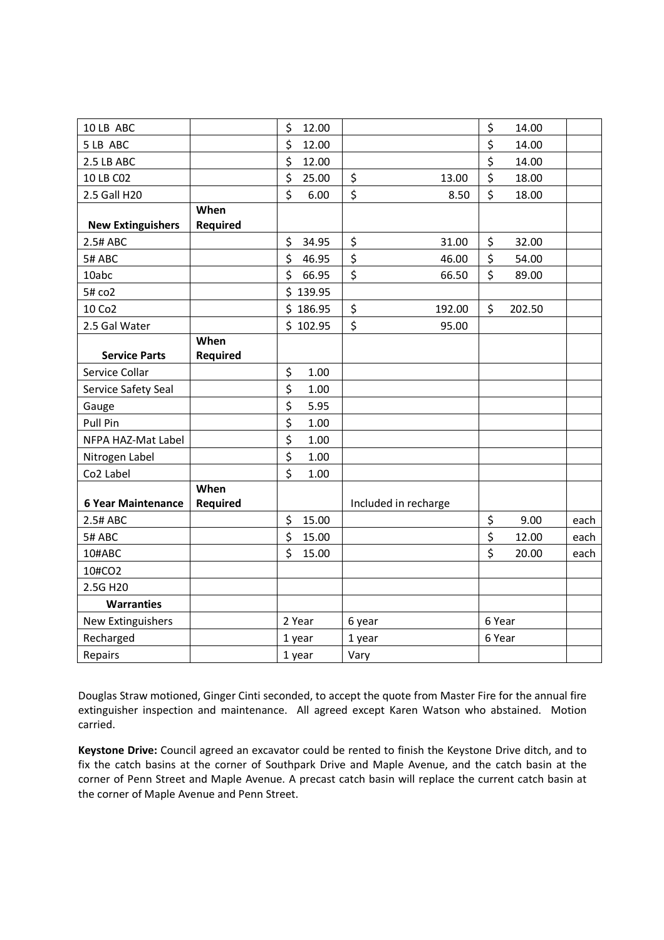| 10 LB ABC                 |                 | \$<br>12.00 |                      | \$<br>14.00  |      |
|---------------------------|-----------------|-------------|----------------------|--------------|------|
| 5 LB ABC                  |                 | \$<br>12.00 |                      | \$<br>14.00  |      |
| 2.5 LB ABC                |                 | \$<br>12.00 |                      | \$<br>14.00  |      |
| 10 LB C02                 |                 | \$<br>25.00 | \$<br>13.00          | \$<br>18.00  |      |
| 2.5 Gall H20              |                 | \$<br>6.00  | \$<br>8.50           | \$<br>18.00  |      |
|                           | When            |             |                      |              |      |
| <b>New Extinguishers</b>  | <b>Required</b> |             |                      |              |      |
| 2.5# ABC                  |                 | \$<br>34.95 | \$<br>31.00          | \$<br>32.00  |      |
| 5# ABC                    |                 | \$<br>46.95 | \$<br>46.00          | \$<br>54.00  |      |
| 10abc                     |                 | \$<br>66.95 | \$<br>66.50          | \$<br>89.00  |      |
| 5# co2                    |                 | \$139.95    |                      |              |      |
| 10 Co2                    |                 | \$186.95    | \$<br>192.00         | \$<br>202.50 |      |
| 2.5 Gal Water             |                 | \$102.95    | \$<br>95.00          |              |      |
|                           | When            |             |                      |              |      |
| <b>Service Parts</b>      | <b>Required</b> |             |                      |              |      |
| Service Collar            |                 | \$<br>1.00  |                      |              |      |
| Service Safety Seal       |                 | \$<br>1.00  |                      |              |      |
| Gauge                     |                 | \$<br>5.95  |                      |              |      |
| Pull Pin                  |                 | \$<br>1.00  |                      |              |      |
| NFPA HAZ-Mat Label        |                 | \$<br>1.00  |                      |              |      |
| Nitrogen Label            |                 | \$<br>1.00  |                      |              |      |
| Co2 Label                 |                 | \$<br>1.00  |                      |              |      |
|                           | When            |             |                      |              |      |
| <b>6 Year Maintenance</b> | <b>Required</b> |             | Included in recharge |              |      |
| 2.5# ABC                  |                 | \$<br>15.00 |                      | \$<br>9.00   | each |
| 5# ABC                    |                 | \$<br>15.00 |                      | \$<br>12.00  | each |
| 10#ABC                    |                 | \$<br>15.00 |                      | \$<br>20.00  | each |
| 10#CO2                    |                 |             |                      |              |      |
| 2.5G H20                  |                 |             |                      |              |      |
| <b>Warranties</b>         |                 |             |                      |              |      |
| New Extinguishers         |                 | 2 Year      | 6 year               | 6 Year       |      |
| Recharged                 |                 | 1 year      | 1 year               | 6 Year       |      |
| Repairs                   |                 | 1 year      | Vary                 |              |      |
|                           |                 |             |                      |              |      |

Douglas Straw motioned, Ginger Cinti seconded, to accept the quote from Master Fire for the annual fire extinguisher inspection and maintenance. All agreed except Karen Watson who abstained. Motion carried.

**Keystone Drive:** Council agreed an excavator could be rented to finish the Keystone Drive ditch, and to fix the catch basins at the corner of Southpark Drive and Maple Avenue, and the catch basin at the corner of Penn Street and Maple Avenue. A precast catch basin will replace the current catch basin at the corner of Maple Avenue and Penn Street.